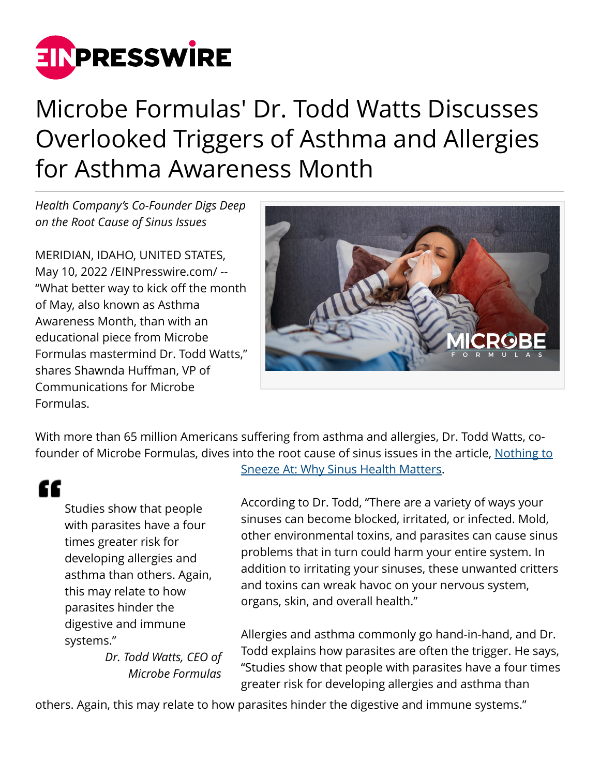

## Microbe Formulas' Dr. Todd Watts Discusses Overlooked Triggers of Asthma and Allergies for Asthma Awareness Month

*Health Company's Co-Founder Digs Deep on the Root Cause of Sinus Issues*

MERIDIAN, IDAHO, UNITED STATES, May 10, 2022 [/EINPresswire.com](http://www.einpresswire.com)/ -- "What better way to kick off the month of May, also known as Asthma Awareness Month, than with an educational piece from Microbe Formulas mastermind Dr. Todd Watts," shares Shawnda Huffman, VP of Communications for Microbe Formulas.



With more than 65 million Americans suffering from asthma and allergies, Dr. Todd Watts, cofounder of Microbe Formulas, dives into the root cause of sinus issues in the article, [Nothing to](https://microbeformulas.com/blogs/microbe-formulas/nothing-to-sneeze-at-why-sinus-health-matters?_pos=11&_sid=c2257cfa6&_ss=r)

"

Studies show that people with parasites have a four times greater risk for developing allergies and asthma than others. Again, this may relate to how parasites hinder the digestive and immune systems."

> *Dr. Todd Watts, CEO of Microbe Formulas*

[Sneeze At: Why Sinus Health Matters.](https://microbeformulas.com/blogs/microbe-formulas/nothing-to-sneeze-at-why-sinus-health-matters?_pos=11&_sid=c2257cfa6&_ss=r)

According to Dr. Todd, "There are a variety of ways your sinuses can become blocked, irritated, or infected. Mold, other environmental toxins, and parasites can cause sinus problems that in turn could harm your entire system. In addition to irritating your sinuses, these unwanted critters and toxins can wreak havoc on your nervous system, organs, skin, and overall health."

Allergies and asthma commonly go hand-in-hand, and Dr. Todd explains how parasites are often the trigger. He says, "Studies show that people with parasites have a four times greater risk for developing allergies and asthma than

others. Again, this may relate to how parasites hinder the digestive and immune systems."